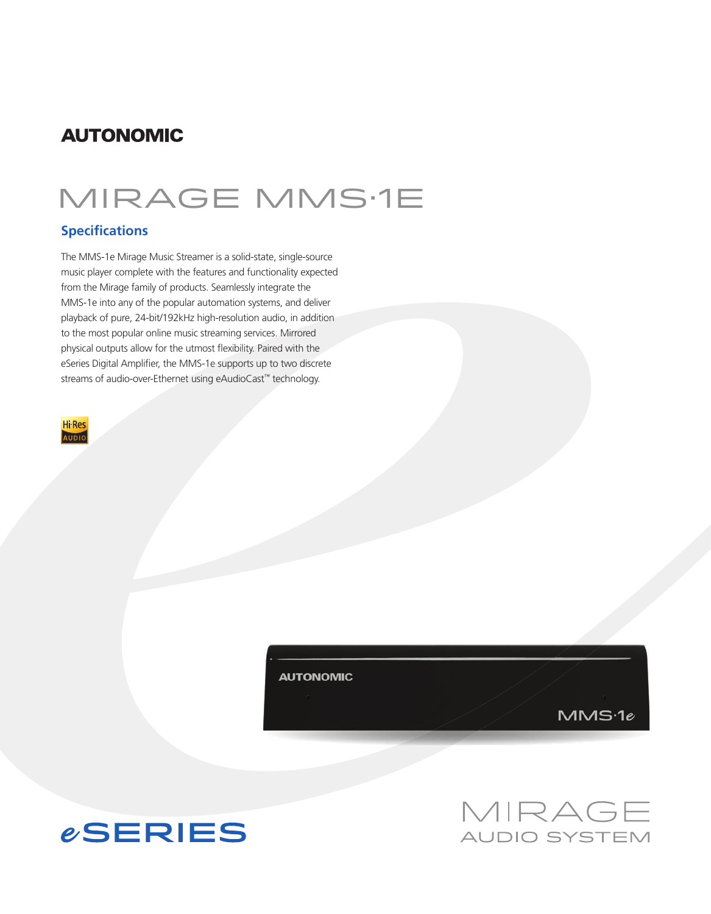## **AUTONOMIC**

# mirage mms·1e

### **Specifications**

The MMS-1e Mirage Music Streamer is a solid-state, single-source music player complete with the features and functionality expected from the Mirage family of products. Seamlessly integrate the MMS-1e into any of the popular automation systems, and deliver playback of pure, 24-bit/192kHz high-resolution audio, in addition to the most popular online music streaming services. Mirrored physical outputs allow for the utmost flexibility. Paired with the eSeries Digital Amplifier, the MMS-1e supports up to two discrete streams of audio-over-Ethernet using eAudioCast™ technology.



**AUTONOMIC** 

 $MMS-1e$